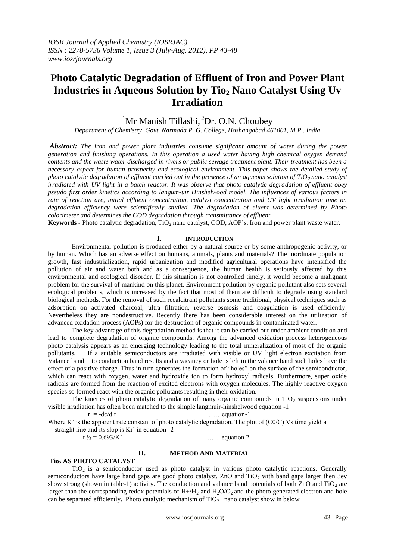# **Photo Catalytic Degradation of Effluent of Iron and Power Plant Industries in Aqueous Solution by Tio<sup>2</sup> Nano Catalyst Using Uv Irradiation**

# <sup>1</sup>Mr Manish Tillashi, <sup>2</sup>Dr. O.N. Choubey

*Department of Chemistry, Govt. Narmada P. G. College, Hoshangabad 461001, M.P., India*

*Abstract: The iron and power plant industries consume significant amount of water during the power generation and finishing operations. In this operation a used water having high chemical oxygen demand contents and the waste water discharged in rivers or public sewage treatment plant. Their treatment has been a necessary aspect for human prosperity and ecological environment. This paper shows the detailed study of photo catalytic degradation of effluent carried out in the presence of an aqueous solution of TiO2 nano catalyst irradiated with UV light in a batch reactor. It was observe that photo catalytic degradation of effluent obey pseudo first order kinetics according to langum-uir Hinshelwood model. The influences of various factors in rate of reaction are, initial effluent concentration, catalyst concentration and UV light irradiation time on degradation efficiency were scientifically studied. The degradation of eluent was determined by Photo colorimeter and determines the COD degradation through transmittance of effluent.* 

**Keywords -** Photo catalytic degradation, TiO<sub>2</sub> nano catalyst, COD, AOP's, Iron and power plant waste water.

### **I. INTRODUCTION**

Environmental pollution is produced either by a natural source or by some anthropogenic activity, or by human. Which has an adverse effect on humans, animals, plants and materials? The inordinate population growth, fast industrialization, rapid urbanization and modified agricultural operations have intensified the pollution of air and water both and as a consequence, the human health is seriously affected by this environmental and ecological disorder. If this situation is not controlled timely, it would become a malignant problem for the survival of mankind on this planet. Environment pollution by organic pollutant also sets several ecological problems, which is increased by the fact that most of them are difficult to degrade using standard biological methods. For the removal of such recalcitrant pollutants some traditional, physical techniques such as adsorption on activated charcoal, ultra filtration, reverse osmosis and coagulation is used efficiently. Nevertheless they are nondestructive. Recently there has been considerable interest on the utilization of advanced oxidation process (AOPs) for the destruction of organic compounds in contaminated water.

The key advantage of this degradation method is that it can be carried out under ambient condition and lead to complete degradation of organic compounds. Among the advanced oxidation process heterogeneous photo catalysis appears as an emerging technology leading to the total mineralization of most of the organic pollutants. If a suitable semiconductors are irradiated with visible or UV light electron excitation from Valance band to conduction band results and a vacancy or hole is left in the valance band such holes have the effect of a positive charge. Thus in turn generates the formation of "holes" on the surface of the semiconductor, which can react with oxygen, water and hydroxide ion to form hydroxyl radicals. Furthermore, super oxide radicals are formed from the reaction of excited electrons with oxygen molecules. The highly reactive oxygen species so formed react with the organic pollutants resulting in their oxidation.

The kinetics of photo catalytic degradation of many organic compounds in  $TiO<sub>2</sub>$  suspensions under visible irradiation has often been matched to the simple langmuir-hinshelwood equation -1

 $r = -dc/d t$  ……equation-1

Where K' is the apparent rate constant of photo catalytic degradation. The plot of (C0/C) Vs time yield a straight line and its slop is Kr' in equation -2

 $t \frac{1}{2} = 0.693/K$  ……. equation 2

### **II. METHOD AND MATERIAL**

## **Tio<sup>2</sup> AS PHOTO CATALYST**

TiO2 is a semiconductor used as photo catalyst in various photo catalytic reactions. Generally semiconductors have large band gaps are good photo catalyst. ZnO and TiO<sub>2</sub> with band gaps larger then 3ev show strong (shown in table-1) activity. The conduction and valance band potentials of both  $ZnO$  and  $TiO<sub>2</sub>$  are larger than the corresponding redox potentials of  $H + /H_2$  and  $H_2O/O_2$  and the photo generated electron and hole can be separated efficiently. Photo catalytic mechanism of  $TiO<sub>2</sub>$  nano catalyst show in below

www.iosrjournals.org 43 | Page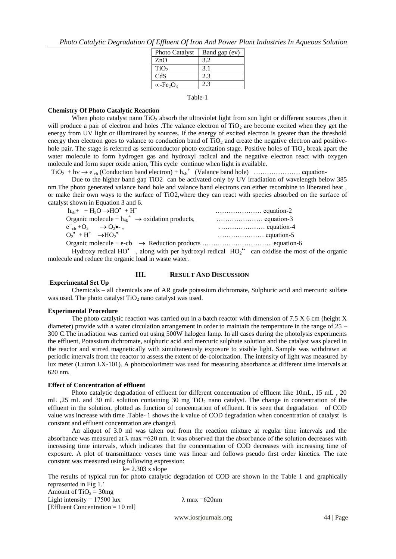|  |  | Photo Catalytic Degradation Of Effluent Of Iron And Power Plant Industries In Aqueous Solution |  |  |  |  |  |  |  |
|--|--|------------------------------------------------------------------------------------------------|--|--|--|--|--|--|--|
|--|--|------------------------------------------------------------------------------------------------|--|--|--|--|--|--|--|

| Band gap (ev) |
|---------------|
| 3.2           |
| 3.1           |
| 2.3           |
| 23            |
|               |

Table-1

#### **Chemistry Of Photo Catalytic Reaction**

When photo catalyst nano  $TiO<sub>2</sub>$  absorb the ultraviolet light from sun light or different sources ,then it will produce a pair of electron and holes .The valance electron of  $TiO<sub>2</sub>$  are become excited when they get the energy from UV light or illuminated by sources. If the energy of excited electron is greater than the threshold energy then electron goes to valance to conduction band of  $TiO<sub>2</sub>$  and create the negative electron and positivehole pair. The stage is referred as semiconductor photo excitation stage. Positive holes of  $TiO<sub>2</sub>$  break apart the water molecule to form hydrogen gas and hydroxyl radical and the negative electron react with oxygen molecule and form super oxide anion, This cycle continue when light is available.

 $TiO<sub>2</sub> + h<sub>V</sub> \rightarrow e<sub>cb</sub>$  (Conduction band electron) +  $h<sub>vb</sub>$ <sup>+</sup> (Valance band hole) ………………… equation-

Due to the higher band gap TiO2 can be activated only by UV irradiation of wavelength below 385 nm.The photo generated valance band hole and valance band electrons can either recombine to liberated heat , or make their own ways to the surface of TiO2,where they can react with species absorbed on the surface of catalyst shown in Equation 3 and 6.

| $h_{\nu b}$ + + H <sub>2</sub> O $\rightarrow$ HO <sup>*</sup> + H <sup>+</sup> |  |
|---------------------------------------------------------------------------------|--|
| Organic molecule + $h_{vb}^+$ $\rightarrow$ oxidation products,                 |  |
| $e^-_{ch} + O_2 \rightarrow O_2 \bullet -$                                      |  |
| $O_2^{\bullet} + H^+ \rightarrow HO_2^{\bullet-}$                               |  |
|                                                                                 |  |

Hydroxy redical HO<sup>\*</sup>, along with per hydroxyl redical  $HO_2^{\bullet-}$  can oxidise the most of the organic molecule and reduce the organic load in waste water.

#### **Experimental Set Up**

## **III. RESULT AND DISCUSSION**

Chemicals – all chemicals are of AR grade potassium dichromate, Sulphuric acid and mercuric sulfate was used. The photo catalyst  $TiO<sub>2</sub>$  nano catalyst was used.

#### **Experimental Procedure**

The photo catalytic reaction was carried out in a batch reactor with dimension of 7.5 X 6 cm (height X diameter) provide with a water circulation arrangement in order to maintain the temperature in the range of 25 – 300 C.The irradiation was carried out using 500W halogen lamp. In all cases during the photolysis experiments the effluent, Potassium dichromate, sulphuric acid and mercuric sulphate solution and the catalyst was placed in the reactor and stirred magnetically with simultaneously exposure to visible light. Sample was withdrawn at periodic intervals from the reactor to assess the extent of de-colorization. The intensity of light was measured by lux meter (Lutron LX-101). A photocolorimetr was used for measuring absorbance at different time intervals at 620 nm.

#### **Effect of Concentration of effluent**

Photo catalytic degradation of effluent for different concentration of effluent like 10mL, 15 mL , 20 mL ,25 mL and 30 mL solution containing 30 mg  $TiO<sub>2</sub>$  nano catalyst. The change in concentration of the effluent in the solution, plotted as function of concentration of effluent. It is seen that degradation of COD value was increase with time .Table- 1 shows the k value of COD degradation when concentration of catalyst is constant and effluent concentration are changed.

An aliquot of 3.0 ml was taken out from the reaction mixture at regular time intervals and the absorbance was measured at  $\lambda$  max =620 nm. It was observed that the absorbance of the solution decreases with increasing time intervals, which indicates that the concentration of COD decreases with increasing time of exposure. A plot of transmittance verses time was linear and follows pseudo first order kinetics. The rate constant was measured using following expression:

#### $k= 2.303$  x slope

The results of typical run for photo catalytic degradation of COD are shown in the Table 1 and graphically represented in Fig 1.'

Amount of TiO<sub>2</sub> =  $30mg$ Light intensity = 17500 lux  $\lambda$  max = 620nm [Effluent Concentration = 10 ml]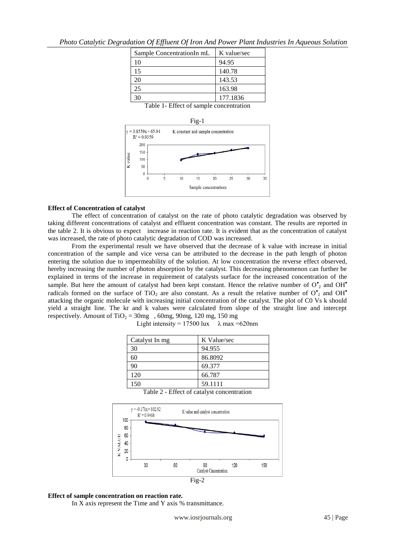|                                            | по редтавшим от прием от нои платомет и ваш твакон ез не прием |        |  |
|--------------------------------------------|----------------------------------------------------------------|--------|--|
| Sample Concentration In $mL$   K value/sec |                                                                |        |  |
|                                            |                                                                | 94.95  |  |
|                                            |                                                                | 140.78 |  |
|                                            |                                                                |        |  |

*Photo Catalytic Degradation Of Effluent Of Iron And Power Plant Industries In Aqueous Solution* 

Table 1- Effect of sample concentration

25 163.98 30 177.1836



#### **Effect of Concentration of catalyst**

The effect of concentration of catalyst on the rate of photo catalytic degradation was observed by taking different concentrations of catalyst and effluent concentration was constant. The results are reported in the table 2. It is obvious to expect increase in reaction rate. It is evident that as the concentration of catalyst was increased, the rate of photo catalytic degradation of COD was increased.

From the experimental result we have observed that the decrease of k value with increase in initial concentration of the sample and vice versa can be attributed to the decrease in the path length of photon entering the solution due to impermeability of the solution. At low concentration the reverse effect observed, hereby increasing the number of photon absorption by the catalyst. This decreasing phenomenon can further be explained in terms of the increase in requirement of catalysts surface for the increased concentration of the sample. But here the amount of catalyst had been kept constant. Hence the relative number of  $O_2^*$  and OH<sup>\*</sup> radicals formed on the surface of TiO<sub>2</sub> are also constant. As a result the relative number of  $O_2^*$  and OH<sup>\*</sup> attacking the organic molecule with increasing initial concentration of the catalyst. The plot of C0 Vs k should yield a straight line. The kr and k values were calculated from slope of the straight line and intercept respectively. Amount of TiO<sub>2</sub> =  $30mg$ ,  $60mg$ ,  $90mg$ ,  $120mg$ ,  $150mg$ 

| Catalyst In mg | K Value/sec |
|----------------|-------------|
| 30             | 94.955      |
| 60             | 86.8092     |
| 90             | 69.377      |
| 120            | 66.787      |
| 150            | 59.1111     |



Table 2 - Effect of catalyst concentration

#### **Effect of sample concentration on reaction rate.**

In X axis represent the Time and Y axis % transmittance.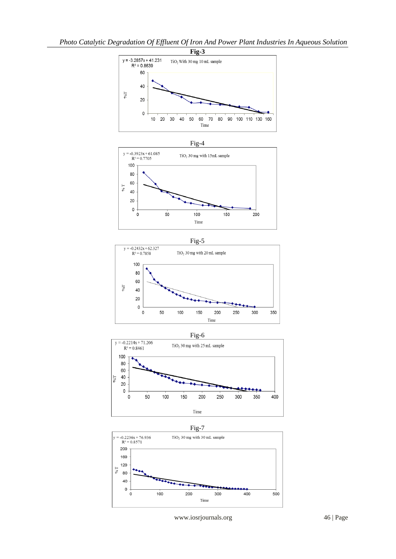









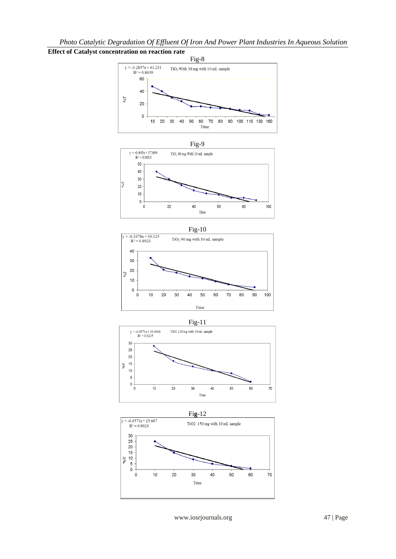# **Effect of Catalyst concentration on reaction rate**